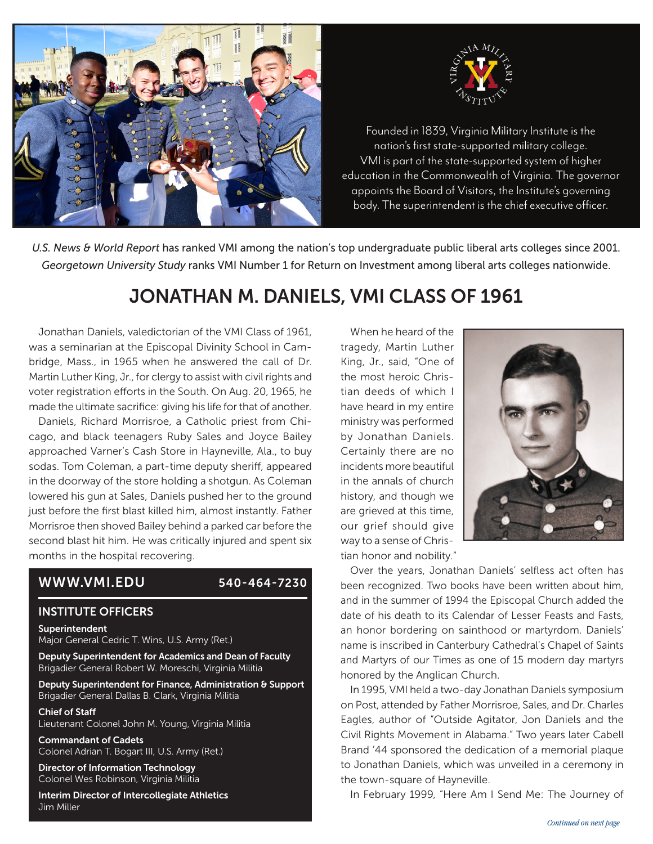



nation's first state-supported military college.<br>Nation's first state-supported military college. VMI is part of the state-supported system of higher education in the Commonwealth of Virginia. The governor appoints the Board of Visitors, the Institute's governing Founded in 1839, Virginia Military Institute is the body. The superintendent is the chief executive officer.

*U.S. News & World Report* has ranked VMI among the nation's top undergraduate public liberal arts colleges since 2001. *Georgetown University Study* ranks VMI Number 1 for Return on Investment among liberal arts colleges nationwide.

## JONATHAN M. DANIELS, VMI CLASS OF 1961

Jonathan Daniels, valedictorian of the VMI Class of 1961, was a seminarian at the Episcopal Divinity School in Cambridge, Mass., in 1965 when he answered the call of Dr. Martin Luther King, Jr., for clergy to assist with civil rights and voter registration efforts in the South. On Aug. 20, 1965, he made the ultimate sacrifice: giving his life for that of another.

Daniels, Richard Morrisroe, a Catholic priest from Chicago, and black teenagers Ruby Sales and Joyce Bailey approached Varner's Cash Store in Hayneville, Ala., to buy sodas. Tom Coleman, a part-time deputy sheriff, appeared in the doorway of the store holding a shotgun. As Coleman lowered his gun at Sales, Daniels pushed her to the ground just before the first blast killed him, almost instantly. Father Morrisroe then shoved Bailey behind a parked car before the second blast hit him. He was critically injured and spent six months in the hospital recovering.

## WWW.VMI.EDU 540-464-7230

## INSTITUTE OFFICERS

Superintendent

Major General Cedric T. Wins, U.S. Army (Ret.)

Deputy Superintendent for Academics and Dean of Faculty Brigadier General Robert W. Moreschi, Virginia Militia

Deputy Superintendent for Finance, Administration & Support Brigadier General Dallas B. Clark, Virginia Militia

Chief of Staff Lieutenant Colonel John M. Young, Virginia Militia

Commandant of Cadets Colonel Adrian T. Bogart III, U.S. Army (Ret.)

Director of Information Technology Colonel Wes Robinson, Virginia Militia

Interim Director of Intercollegiate Athletics Jim Miller

When he heard of the tragedy, Martin Luther King, Jr., said, "One of the most heroic Christian deeds of which I have heard in my entire ministry was performed by Jonathan Daniels. Certainly there are no incidents more beautiful in the annals of church history, and though we are grieved at this time, our grief should give way to a sense of Christian honor and nobility."



Over the years, Jonathan Daniels' selfless act often has been recognized. Two books have been written about him, and in the summer of 1994 the Episcopal Church added the date of his death to its Calendar of Lesser Feasts and Fasts, an honor bordering on sainthood or martyrdom. Daniels' name is inscribed in Canterbury Cathedral's Chapel of Saints and Martyrs of our Times as one of 15 modern day martyrs honored by the Anglican Church.

In 1995, VMI held a two-day Jonathan Daniels symposium on Post, attended by Father Morrisroe, Sales, and Dr. Charles Eagles, author of "Outside Agitator, Jon Daniels and the Civil Rights Movement in Alabama." Two years later Cabell Brand '44 sponsored the dedication of a memorial plaque to Jonathan Daniels, which was unveiled in a ceremony in the town-square of Hayneville.

In February 1999, "Here Am I Send Me: The Journey of